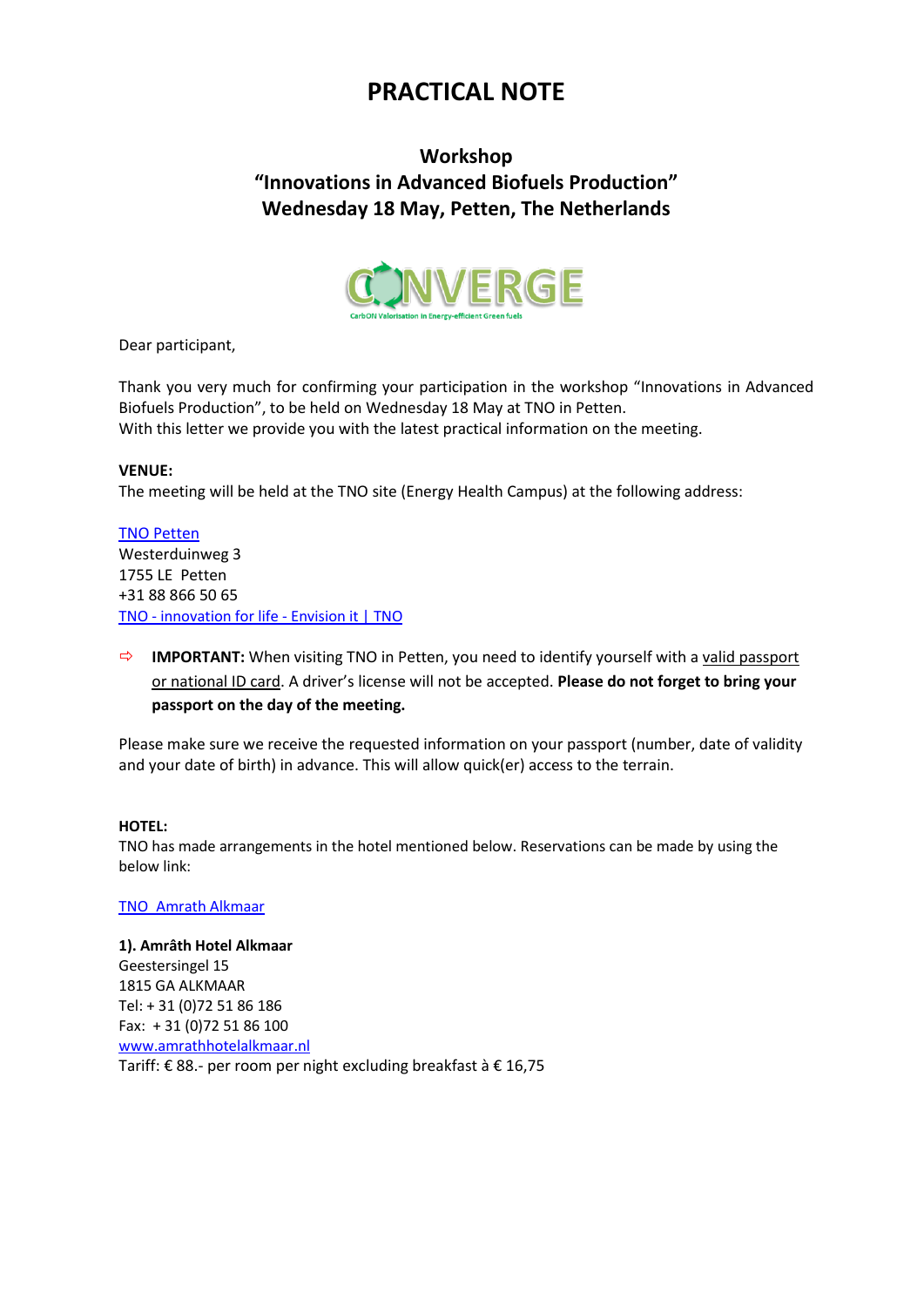# **PRACTICAL NOTE**

## **Workshop "Innovations in Advanced Biofuels Production" Wednesday 18 May, Petten, The Netherlands**



Dear participant,

Thank you very much for confirming your participation in the workshop "Innovations in Advanced Biofuels Production", to be held on Wednesday 18 May at TNO in Petten. With this letter we provide you with the latest practical information on the meeting.

### **VENUE:**

The meeting will be held at the TNO site (Energy Health Campus) at the following address:

TNO [Petten](https://www.google.com/maps/place/TNO+Locatie+-+Petten/@52.7849977,4.6723731,17z/data=!3m1!4b1!4m5!3m4!1s0x0:0x62b960bb04604f4!8m2!3d52.7849977!4d4.6745618) Westerduinweg 3 1755 LE Petten +31 88 866 50 65 TNO - [innovation for life -](https://www.tno.nl/en/) Envision it | TNO

 **IMPORTANT:** When visiting TNO in Petten, you need to identify yourself with a valid passport or national ID card. A driver's license will not be accepted. **Please do not forget to bring your passport on the day of the meeting.**

Please make sure we receive the requested information on your passport (number, date of validity and your date of birth) in advance. This will allow quick(er) access to the terrain.

### **HOTEL:**

TNO has made arrangements in the hotel mentioned below. Reservations can be made by using the below link:

### [TNO\\_Amrath Alkmaar](https://eur01.safelinks.protection.outlook.com/?url=https%3A%2F%2Fwww.mews.li%2Fdistributor%2F2f6a8736-ad7a-49dc-9598-ad3400b82493%3FmewsVoucherCode%3DTNO%2520Corp&data=04%7C01%7Ce.raat%40amrathalkmaar.nl%7C9d348068d46443cb7ece08da0c0c1785%7C71a7d473de494bb4975de5817010cebc%7C1%7C0%7C637835543352372442%7CUnknown%7CTWFpbGZsb3d8eyJWIjoiMC4wLjAwMDAiLCJQIjoiV2luMzIiLCJBTiI6Ik1haWwiLCJXVCI6Mn0%3D%7C3000&sdata=N5gvoiaM1Sho1H%2FG0dZ0dKcamRkuW%2BLa%2FqwuG%2FAa3sc%3D&reserved=0)

### **1). Amrâth Hotel Alkmaar**

Geestersingel 15 1815 GA ALKMAAR Tel: + 31 (0)72 51 86 186 Fax: + 31 (0)72 51 86 100 [www.amrathhotelalkmaar.nl](http://www.amrathhotelalkmaar.nl/) Tariff: € 88.- per room per night excluding breakfast à € 16,75